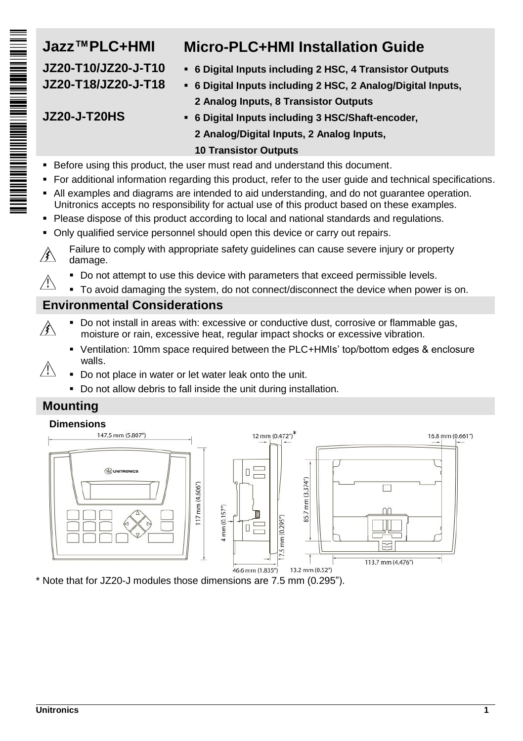

# **Jazz™PLC+HMI Micro-PLC+HMI Installation Guide**

- **JZ20-T10/JZ20-J-T10 6 Digital Inputs including 2 HSC, 4 Transistor Outputs**
- **JZ20-T18/JZ20-J-T18 6 Digital Inputs including 2 HSC, 2 Analog/Digital Inputs, 2 Analog Inputs, 8 Transistor Outputs**

# **JZ20-J-T20HS 6 Digital Inputs including 3 HSC/Shaft-encoder,**

**2 Analog/Digital Inputs, 2 Analog Inputs,** 

## **10 Transistor Outputs**

- Before using this product, the user must read and understand this document.
- For additional information regarding this product, refer to the user guide and technical specifications.
- All examples and diagrams are intended to aid understanding, and do not guarantee operation. Unitronics accepts no responsibility for actual use of this product based on these examples.
- **Please dispose of this product according to local and national standards and regulations.**
- Only qualified service personnel should open this device or carry out repairs.
- Failure to comply with appropriate safety guidelines can cause severe injury or property ∕≸∖ damage.
	- Do not attempt to use this device with parameters that exceed permissible levels.
- $\sqrt{1}$ To avoid damaging the system, do not connect/disconnect the device when power is on.

# **Environmental Considerations**

- Do not install in areas with: excessive or conductive dust, corrosive or flammable gas, ∕≹∖ moisture or rain, excessive heat, regular impact shocks or excessive vibration.
	- Ventilation: 10mm space required between the PLC+HMIs' top/bottom edges & enclosure walls.
- $\mathcal{N}$ Do not place in water or let water leak onto the unit.
	- Do not allow debris to fall inside the unit during installation.

# **Mounting**



\* Note that for JZ20-J modules those dimensions are 7.5 mm (0.295").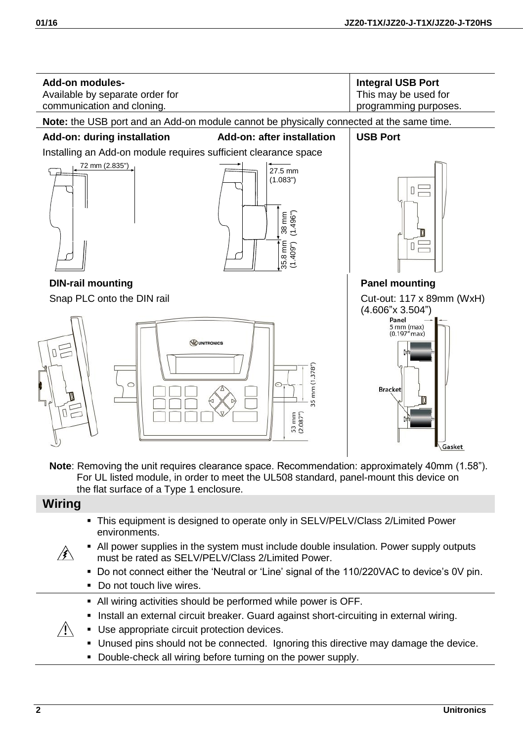

**Note**: Removing the unit requires clearance space. Recommendation: approximately 40mm (1.58"). For UL listed module, in order to meet the UL508 standard, panel-mount this device on the flat surface of a Type 1 enclosure.

## **Wiring**

 $\sqrt{N}$ 

- This equipment is designed to operate only in SELV/PELV/Class 2/Limited Power environments.
- All power supplies in the system must include double insulation. Power supply outputs ∕≰∖ must be rated as SELV/PELV/Class 2/Limited Power.
	- Do not connect either the 'Neutral or 'Line' signal of the 110/220VAC to device's 0V pin. Do not touch live wires.
	- All wiring activities should be performed while power is OFF.
	- Install an external circuit breaker. Guard against short-circuiting in external wiring.
	- **Use appropriate circuit protection devices.** 
		- Unused pins should not be connected. Ignoring this directive may damage the device.
		- Double-check all wiring before turning on the power supply.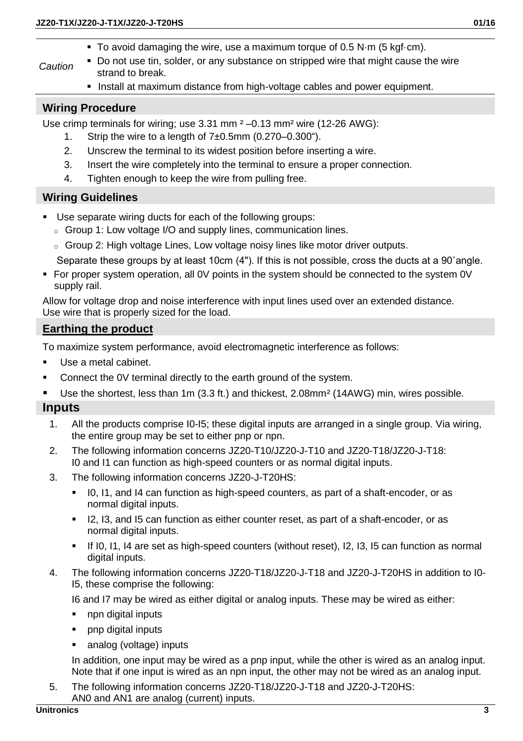- *Caution* Do not use tin, solder, or any substance on stripped wire that might cause the wire strand to break.
	- **Install at maximum distance from high-voltage cables and power equipment.**

#### **Wiring Procedure**

Use crimp terminals for wiring; use 3.31 mm  $2 - 0.13$  mm<sup>2</sup> wire (12-26 AWG):

- 1. Strip the wire to a length of 7±0.5mm (0.270–0.300").
- 2. Unscrew the terminal to its widest position before inserting a wire.
- 3. Insert the wire completely into the terminal to ensure a proper connection.
- 4. Tighten enough to keep the wire from pulling free.

#### **Wiring Guidelines**

- Use separate wiring ducts for each of the following groups:
	- o Group 1: Low voltage I/O and supply lines, communication lines.
	- $\circ$  Group 2: High voltage Lines, Low voltage noisy lines like motor driver outputs.
	- Separate these groups by at least 10cm (4"). If this is not possible, cross the ducts at a 90˚angle.
- For proper system operation, all 0V points in the system should be connected to the system 0V supply rail.

Allow for voltage drop and noise interference with input lines used over an extended distance. Use wire that is properly sized for the load.

#### **Earthing the product**

To maximize system performance, avoid electromagnetic interference as follows:

- Use a metal cabinet.
- Connect the 0V terminal directly to the earth ground of the system.
- Use the shortest, less than 1m (3.3 ft.) and thickest, 2.08mm² (14AWG) min, wires possible.

#### **Inputs**

- 1. All the products comprise I0-I5; these digital inputs are arranged in a single group. Via wiring, the entire group may be set to either pnp or npn.
- 2. The following information concerns JZ20-T10/JZ20-J-T10 and JZ20-T18/JZ20-J-T18: I0 and I1 can function as high-speed counters or as normal digital inputs.
- 3. The following information concerns JZ20-J-T20HS:
	- In 10, 11, and 14 can function as high-speed counters, as part of a shaft-encoder, or as normal digital inputs.
	- 12, 13, and 15 can function as either counter reset, as part of a shaft-encoder, or as normal digital inputs.
	- If I0, I1, I4 are set as high-speed counters (without reset), I2, I3, I5 can function as normal digital inputs.
- 4. The following information concerns JZ20-T18/JZ20-J-T18 and JZ20-J-T20HS in addition to I0- I5, these comprise the following:

I6 and I7 may be wired as either digital or analog inputs. These may be wired as either:

- npn digital inputs
- **Philopheric industs**
- analog (voltage) inputs

In addition, one input may be wired as a pnp input, while the other is wired as an analog input. Note that if one input is wired as an npn input, the other may not be wired as an analog input.

5. The following information concerns JZ20-T18/JZ20-J-T18 and JZ20-J-T20HS: AN0 and AN1 are analog (current) inputs.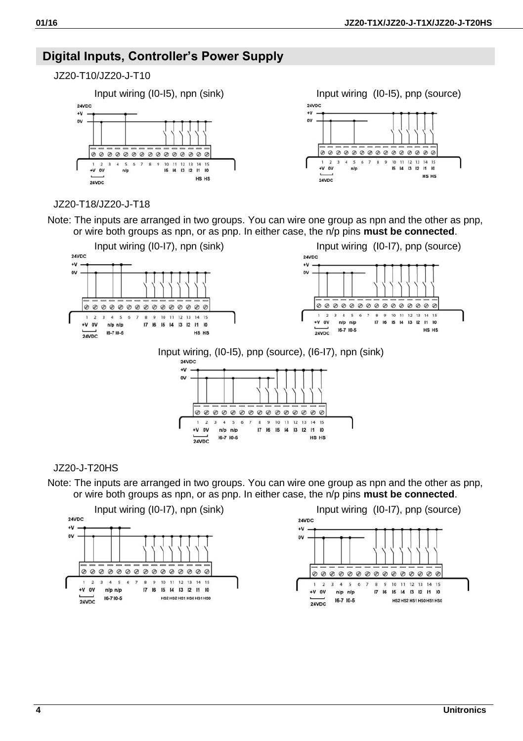# **Digital Inputs, Controller's Power Supply**

## JZ20-T10/JZ20-J-T10



**24VDC**  $\overline{u}$  $\sim$  $0000000000000000$  $\overline{a}$  $\overline{3}$ 5 6 7 8 9  $10$  $12$  $13$  $14$  $15$  $\overline{\mathbf{a}}$  $\overline{11}$ +V ov  $n/p$  $16 \t14$ 13 12 11 10 HS HS 24VDC

#### JZ20-T18/JZ20-J-T18

Note: The inputs are arranged in two groups. You can wire one group as npn and the other as pnp, or wire both groups as npn, or as pnp. In either case, the n/p pins **must be connected**.



# Input wiring, (I0-I5), pnp (source), (I6-I7), npn (sink)



#### JZ20-J-T20HS

Note: The inputs are arranged in two groups. You can wire one group as npn and the other as pnp, or wire both groups as npn, or as pnp. In either case, the n/p pins **must be connected**.

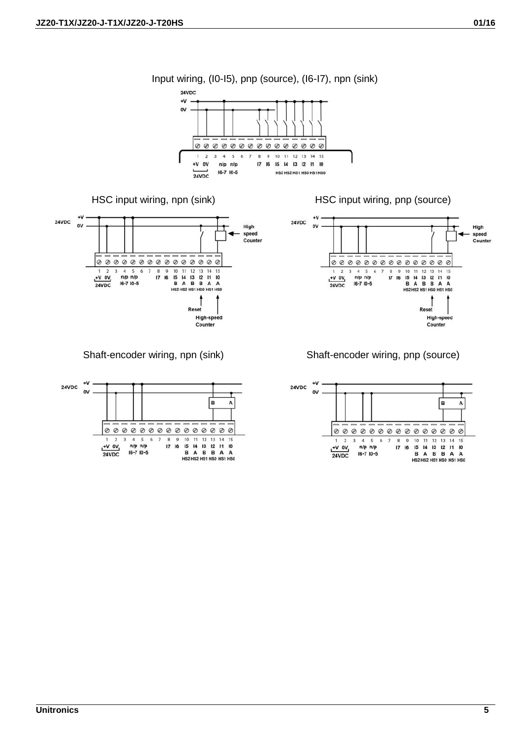